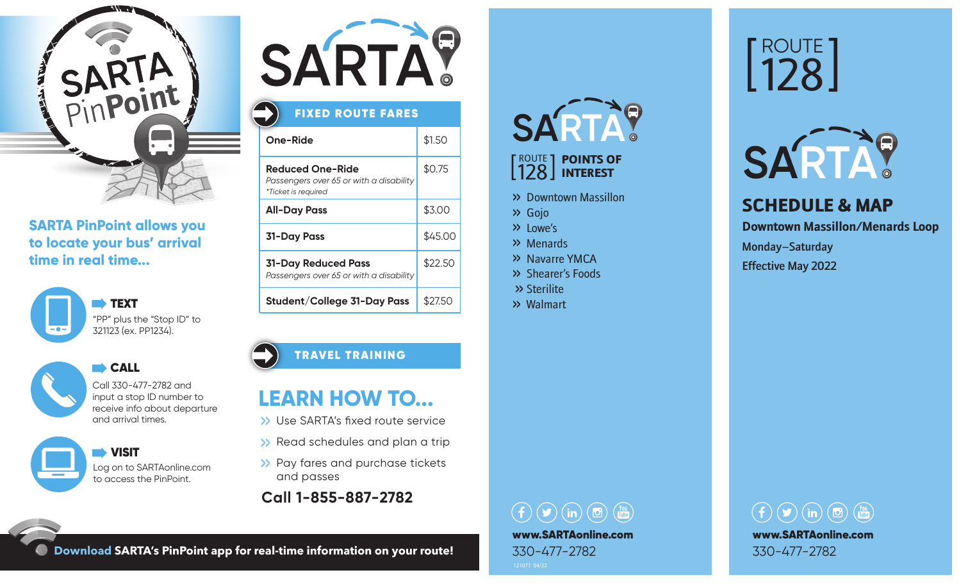

### **SARTA PinPoint allows you to locate your bus' arrival time in real time...**





**CALL** 

Call 330-477-2782 and input a stop ID number to receive info about departure and arrival times.

 VISIT Log on to SARTAonline.com to access the PinPoint.



# FIXED ROUTE FARES

| One-Ride                                                                                  | \$1.50  |
|-------------------------------------------------------------------------------------------|---------|
| <b>Reduced One-Ride</b><br>Passengers over 65 or with a disability<br>*Ticket is required | \$0.75  |
| <b>All-Day Pass</b>                                                                       | \$3.00  |
| <b>31-Day Pass</b>                                                                        | \$45.00 |
| <b>31-Day Reduced Pass</b><br>Passengers over 65 or with a disability                     | \$22.50 |
| Student/College 31-Day Pass                                                               | \$27.50 |

### TRAVEL TRAINING

# **LEARN HOW TO...**

- >> Use SARTA's fixed route service
- >> Read schedules and plan a trip
- >> Pay fares and purchase tickets and passes
- **Call 1-855-887-2782**

# **SARTA?**

### ROUTE 128 POINTS OF INTEREST

- >> Downtown Massillon
- >> Gojo
- >> Lowe's
- >> Menards
- >> Navarre YMCA
- >> Shearer's Foods
- >> Sterilite
- >> Walmart

# ROUTE 128



## SCHEDULE & MAP **Downtown Massillon/Menards Loop** Monday–Saturday Effective May 2022

# $\textcircled{\fbox{f}}\textcircled{\fbox{f}}\textcircled{\fbox{f}}\textcircled{\fbox{f}}\textcircled{\fbox{f}}\textcircled{\fbox{f}}\textcircled{\fbox{f}}\textcircled{\fbox{f}}\textcircled{\fbox{f}}\textcircled{\fbox{f}}\textcircled{\fbox{f}}\textcircled{\fbox{f}}\textcircled{\fbox{f}}\textcircled{\fbox{f}}\textcircled{\fbox{f}}\textcircled{\fbox{f}}\textcircled{\fbox{f}}\textcircled{\fbox{f}}\textcircled{\fbox{f}}\textcircled{\fbox{f}}\textcircled{\fbox{f}}\textcircled{\fbox{f}}$ www.SARTAonline.com 330-477-2782



**Download SARTA's PinPoint app for real-time information on your route!**